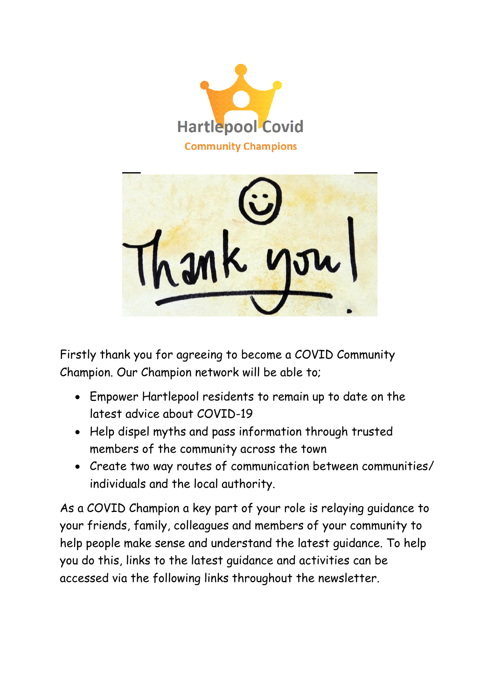



Firstly thank you for agreeing to become a COVID Community Champion. Our Champion network will be able to;

- Empower Hartlepool residents to remain up to date on the latest advice about COVID-19
- Help dispel myths and pass information through trusted members of the community across the town
- Create two way routes of communication between communities/ individuals and the local authority.

As a COVID Champion a key part of your role is relaying guidance to your friends, family, colleagues and members of your community to help people make sense and understand the latest guidance. To help you do this, links to the latest guidance and activities can be accessed via the following links throughout the newsletter.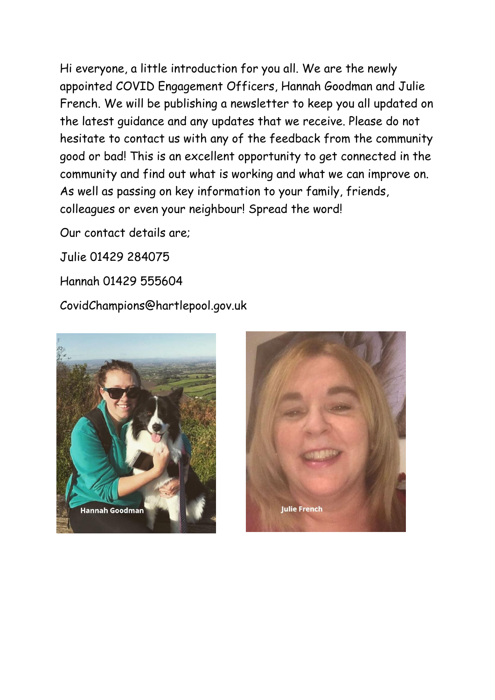Hi everyone, a little introduction for you all. We are the newly appointed COVID Engagement Officers, Hannah Goodman and Julie French. We will be publishing a newsletter to keep you all updated on the latest guidance and any updates that we receive. Please do not hesitate to contact us with any of the feedback from the community good or bad! This is an excellent opportunity to get connected in the community and find out what is working and what we can improve on. As well as passing on key information to your family, friends, colleagues or even your neighbour! Spread the word!

Our contact details are;

Julie 01429 284075

Hannah 01429 555604

CovidChampions@hartlepool.gov.uk



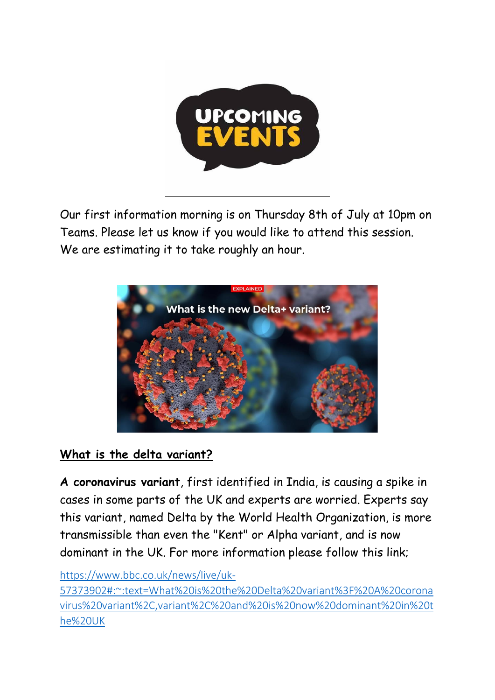

Our first information morning is on Thursday 8th of July at 10pm on Teams. Please let us know if you would like to attend this session. We are estimating it to take roughly an hour.

l,



## **What is the delta variant?**

**A coronavirus variant**, first identified in India, is causing a spike in cases in some parts of the UK and experts are worried. Experts say this variant, named Delta by the World Health Organization, is more transmissible than even the "Kent" or Alpha variant, and is now dominant in the UK. For more information please follow this link;

## [https://www.bbc.co.uk/news/live/uk-](https://www.bbc.co.uk/news/live/uk-57373902#:~:text=What%20is%20the%20Delta%20variant%3F%20A%20coronavirus%20variant%2C,variant%2C%20and%20is%20now%20dominant%20in%20the%20UK)

[57373902#:~:text=What%20is%20the%20Delta%20variant%3F%20A%20corona](https://www.bbc.co.uk/news/live/uk-57373902#:~:text=What%20is%20the%20Delta%20variant%3F%20A%20coronavirus%20variant%2C,variant%2C%20and%20is%20now%20dominant%20in%20the%20UK) [virus%20variant%2C,variant%2C%20and%20is%20now%20dominant%20in%20t](https://www.bbc.co.uk/news/live/uk-57373902#:~:text=What%20is%20the%20Delta%20variant%3F%20A%20coronavirus%20variant%2C,variant%2C%20and%20is%20now%20dominant%20in%20the%20UK) [he%20UK](https://www.bbc.co.uk/news/live/uk-57373902#:~:text=What%20is%20the%20Delta%20variant%3F%20A%20coronavirus%20variant%2C,variant%2C%20and%20is%20now%20dominant%20in%20the%20UK)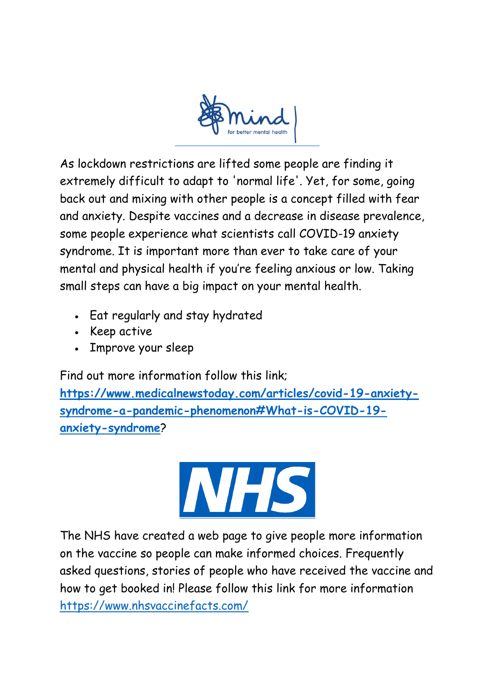

As lockdown restrictions are lifted some people are finding it extremely difficult to adapt to 'normal life'. Yet, for some, going back out and mixing with other people is a concept filled with fear and anxiety. Despite vaccines and a decrease in disease prevalence, some people experience what scientists call COVID-19 anxiety syndrome. It is important more than ever to take care of your mental and physical health if you're feeling anxious or low. Taking small steps can have a big impact on your mental health.

- Eat regularly and stay hydrated
- Keep active
- Improve your sleep

Find out more information follow this link;

**[https://www.medicalnewstoday.com/articles/covid-19-anxiety](https://www.medicalnewstoday.com/articles/covid-19-anxiety-syndrome-a-pandemic-phenomenon#What-is-COVID-19-anxiety-syndrome)[syndrome-a-pandemic-phenomenon#What-is-COVID-19](https://www.medicalnewstoday.com/articles/covid-19-anxiety-syndrome-a-pandemic-phenomenon#What-is-COVID-19-anxiety-syndrome) [anxiety-syndrome](https://www.medicalnewstoday.com/articles/covid-19-anxiety-syndrome-a-pandemic-phenomenon#What-is-COVID-19-anxiety-syndrome)**?



The NHS have created a web page to give people more information on the vaccine so people can make informed choices. Frequently asked questions, stories of people who have received the vaccine and how to get booked in! Please follow this [link](https://www.nhsvaccinefacts.com/) for more information <https://www.nhsvaccinefacts.com/>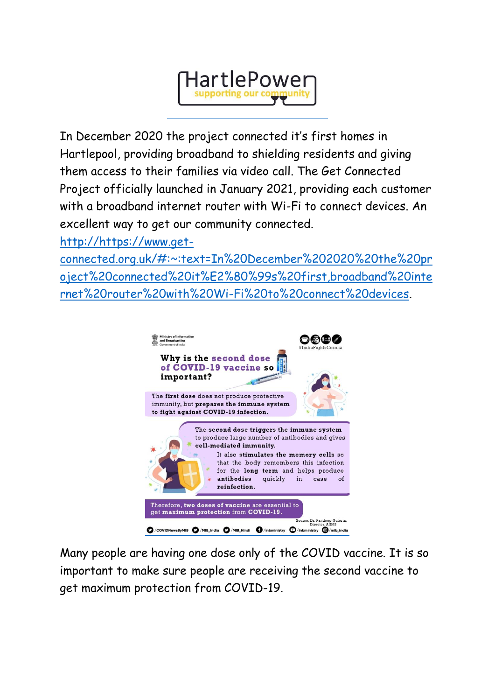

In December 2020 the project connected it's first homes in Hartlepool, providing broadband to shielding residents and giving them access to their families via video call. The Get Connected Project officially launched in January 2021, providing each customer with a broadband internet router with Wi-Fi to connect devices. An excellent way to get our community connected.

[http://https://www.get-](http://https/www.get-connected.org.uk/#:~:text=In%20December%202020%20the%20project%20connected%20it%E2%80%99s%20first,broadband%20internet%20router%20with%20Wi-Fi%20to%20connect%20devices)

[connected.org.uk/#:~:text=In%20December%202020%20the%20pr](http://https/www.get-connected.org.uk/#:~:text=In%20December%202020%20the%20project%20connected%20it%E2%80%99s%20first,broadband%20internet%20router%20with%20Wi-Fi%20to%20connect%20devices) [oject%20connected%20it%E2%80%99s%20first,broadband%20inte](http://https/www.get-connected.org.uk/#:~:text=In%20December%202020%20the%20project%20connected%20it%E2%80%99s%20first,broadband%20internet%20router%20with%20Wi-Fi%20to%20connect%20devices) [rnet%20router%20with%20Wi-Fi%20to%20connect%20devices.](http://https/www.get-connected.org.uk/#:~:text=In%20December%202020%20the%20project%20connected%20it%E2%80%99s%20first,broadband%20internet%20router%20with%20Wi-Fi%20to%20connect%20devices)



Many people are having one dose only of the COVID vaccine. It is so important to make sure people are receiving the second vaccine to get maximum protection from COVID-19.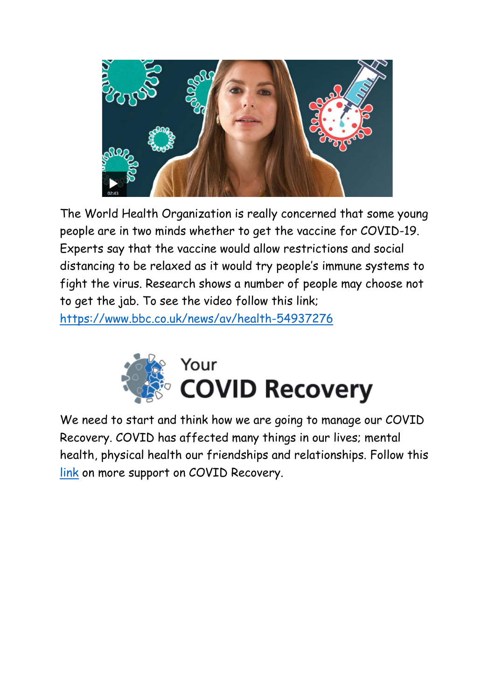

The World Health Organization is really concerned that some young people are in two minds whether to get the vaccine for COVID-19. Experts say that the vaccine would allow restrictions and social distancing to be relaxed as it would try people's immune systems to fight the virus. Research shows a number of people may choose not to get the jab. To see the video follow this link; <https://www.bbc.co.uk/news/av/health-54937276>



We need to start and think how we are going to manage our COVID Recovery. COVID has affected many things in our lives; mental health, physical health our friendships and relationships. Follow this [link](https://www.yourcovidrecovery.nhs.uk/) on more support on COVID Recovery.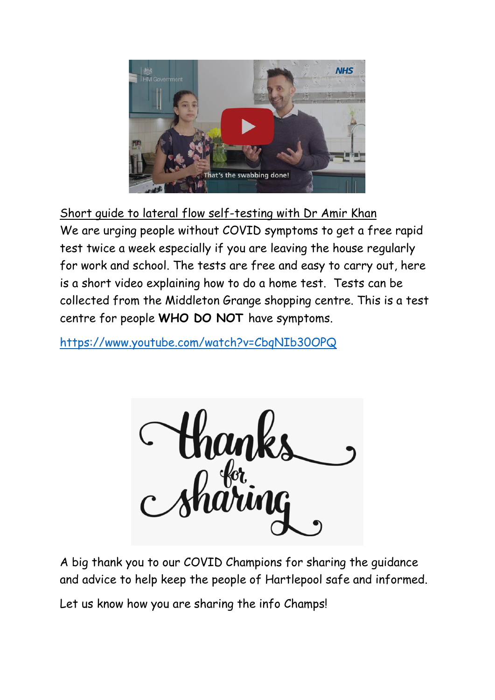

Short guide to lateral flow self-testing with Dr Amir Khan We are urging people without COVID symptoms to get a free rapid test twice a week especially if you are leaving the house regularly for work and school. The tests are free and easy to carry out, here is a short video explaining how to do a home test. Tests can be collected from the Middleton Grange shopping centre. This is a test centre for people **WHO DO NOT** have symptoms.

<https://www.youtube.com/watch?v=CbqNIb30OPQ>



A big thank you to our COVID Champions for sharing the guidance and advice to help keep the people of Hartlepool safe and informed.

Let us know how you are sharing the info Champs!